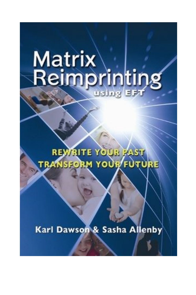# **Matrix Reimprinting**

# REWRITE YOUR PAS TRANSFORM YOUR FUTU

Karl Dawson & Sasha Allenby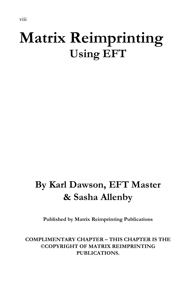# **By Karl Dawson, EFT Master & Sasha Allenby**

**Published by Matrix Reimprinting Publications**

**COMPLIMENTARY CHAPTER – THIS CHAPTER IS THE ©COPYRIGHT OF MATRIX REIMPRINTING PUBLICATIONS.**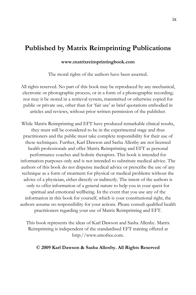## **Published by Matrix Reimprinting Publications**

#### **[www.matrixreimprintingbook.com](http://www.matrixreimprintingbook.com/)**

The moral rights of the authors have been asserted.

All rights reserved. No part of this book may be reproduced by any mechanical, electronic or photographic process, or in a form of a phonographic recording; nor may it be stored in a retrieval system, transmitted or otherwise copied for public or private use, other than for 'fair use' as brief quotations embodied in articles and reviews, without prior written permission of the publisher.

While Matrix Reimprinting and EFT have produced remarkable clinical results, they must still be considered to be in the experimental stage and thus practitioners and the public must take complete responsibility for their use of these techniques. Further, Karl Dawson and Sasha Allenby are not licensed health professionals and offer Matrix Reimprinting and EFT as personal performance coaches and holistic therapists. This book is intended for information purposes only and is not intended to substitute medical advice. The authors of this book do not dispense medical advice or prescribe the use of any technique as a form of treatment for physical or medical problems without the advice of a physician, either directly or indirectly. The intent of the authors is only to offer information of a general nature to help you in your quest for spiritual and emotional wellbeing. In the event that you use any of the information in this book for yourself, which is your constitutional right, the authors assume no responsibility for your actions. Please consult qualified health practitioners regarding your use of Matrix Reimprinting and EFT.

This book represents the ideas of Karl Dawson and Sasha Allenby. Matrix Reimprinting is independent of the standardised EFT training offered at [http://www.emofree.com.](http://www.emofree.com/)

#### **© 2009 Karl Dawson & Sasha Allenby. All Rights Reserved**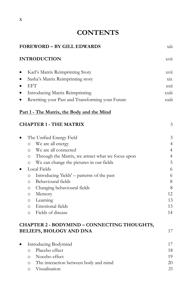# **CONTENTS**

|           | <b>FOREWORD – BY GILL EDWARDS</b>                            |                            |
|-----------|--------------------------------------------------------------|----------------------------|
|           | <b>INTRODUCTION</b>                                          | xvii                       |
|           | Karl's Matrix Reimprinting Story                             | XVI1                       |
| $\bullet$ | Sasha's Matrix Reimprinting story                            | $\overline{X}$             |
| $\bullet$ | EFT                                                          | XX11                       |
| $\bullet$ | Introducing Matrix Reimprinting                              | $\overline{\text{XX}}$ 111 |
| $\bullet$ | Rewriting your Past and Transforming your Future             | $\overline{\text{XXIII}}$  |
|           | Part 1 - The Matrix, the Body and the Mind                   |                            |
|           | <b>CHAPTER 1 - THE MATRIX</b>                                | 3                          |
| $\bullet$ | The Unified Energy Field                                     | 3                          |
|           | We are all energy<br>$\circ$                                 | $\overline{4}$             |
|           | We are all connected<br>$\circ$                              | $\overline{4}$             |
|           | Through the Matrix, we attract what we focus upon<br>$\circ$ | $\overline{4}$             |
|           | We can change the pictures in our fields<br>$\circ$          | 5                          |
| $\bullet$ | <b>Local Fields</b>                                          | 6                          |
|           | Introducing 'fields' - patterns of the past<br>$\circ$       | 6                          |
|           | Behavioural fields<br>$\circ$                                | $8\,$                      |
|           | Changing behavioural fields<br>$\circ$                       | $\,8\,$                    |
|           | Memory<br>$\circ$                                            | 12                         |
|           | Learning<br>$\circ$                                          | 13                         |
|           | <b>Emotional</b> fields<br>$\circ$                           | 13                         |
|           | Fields of disease<br>$\circ$                                 | 14                         |
|           | CHAPTER 2 - BODYMIND - CONNECTING THOUGHTS,                  |                            |
|           | <b>BELIEFS, BIOLOGY AND DNA</b>                              | 17                         |
|           | Introducing Bodymind                                         | 17                         |
|           | Placebo effect<br>$\circ$                                    | 18                         |
|           | Nocebo effect<br>$\circ$                                     | 19                         |
|           | The interaction between body and mind<br>$\circ$             | 20                         |
|           | Visualisation<br>$\circ$                                     | 21                         |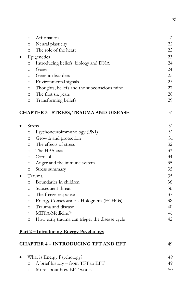|   | $\circ$ | Affirmation                                    | 21     |
|---|---------|------------------------------------------------|--------|
|   | $\circ$ | Neural plasticity                              | 22     |
|   | O       | The role of the heart                          | 22     |
|   |         | Epigenetics                                    | 23     |
|   | $\circ$ | Introducing beliefs, biology and DNA           | 24     |
|   | $\circ$ | Genes                                          | 24     |
|   | $\circ$ | Genetic disorders                              | 25     |
|   | $\circ$ | Environmental signals                          | 25     |
|   | $\circ$ | Thoughts, beliefs and the subconscious mind    | $27\,$ |
|   | $\circ$ | The first six years                            | 28     |
|   | $\circ$ | Transforming beliefs                           | 29     |
|   |         | <b>CHAPTER 3 - STRESS, TRAUMA AND DISEASE</b>  | 31     |
| ٠ |         | <b>Stress</b>                                  | 31     |
|   | $\circ$ | Psychoneuroimmunology (PNI)                    | 31     |
|   | $\circ$ | Growth and protection                          | 31     |
|   | $\circ$ | The effects of stress                          | 32     |
|   | $\circ$ | The HPA axis                                   | 33     |
|   | $\circ$ | Cortisol                                       | 34     |
|   | $\circ$ | Anger and the immune system                    | 35     |
|   | $\circ$ | Stress summary                                 | 35     |
|   |         | Trauma                                         | 35     |
|   | $\circ$ | Boundaries in children                         | 36     |
|   | $\circ$ | Subsequent threat                              | 36     |
|   | O       | The freeze response                            | 37     |
|   | $\circ$ | Energy Consciousness Holograms (ECHOs)         | 38     |
|   | $\circ$ | Trauma and disease                             | 40     |
|   | $\circ$ | META-Medicine®                                 | 41     |
|   | $\circ$ | How early trauma can trigger the disease cycle | 42     |
|   |         | <u>Part 2 – Introducing Energy Psychology</u>  |        |
|   |         | <b>CHAPTER 4 - INTRODUCING TFT AND EFT</b>     | 49     |
|   |         | What is Energy Psychology?                     | 49     |
|   | O       | A brief history - from TFT to EFT              | 49     |
|   | $\circ$ | More about how EFT works                       | 50     |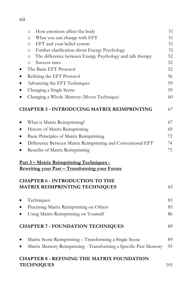|   | O       | How emotions affect the body                                                                                                                          | 51  |
|---|---------|-------------------------------------------------------------------------------------------------------------------------------------------------------|-----|
|   | O       | What you can change with EFT                                                                                                                          | 51  |
|   | $\circ$ | EFT and your belief system                                                                                                                            | 51  |
|   | $\circ$ | Further clarification about Energy Psychology                                                                                                         | 51  |
|   | O       | The difference between Energy Psychology and talk therapy                                                                                             | 52  |
|   | $\circ$ | Success rates                                                                                                                                         | 52  |
| ٠ |         | The Basic EFT Protocol                                                                                                                                | 52  |
| ٠ |         | Refining the EFT Protocol                                                                                                                             | 56  |
| ٠ |         | Advancing the EFT Techniques                                                                                                                          | 59  |
| ٠ |         | Changing a Single Scene                                                                                                                               | 59  |
| ٠ |         | Changing a Whole Memory (Movie Technique)                                                                                                             | 60  |
|   |         | <b>CHAPTER 5 - INTRODUCING MATRIX REIMPRINTING</b>                                                                                                    | 67  |
| ٠ |         | What is Matrix Reimprinting?                                                                                                                          | 67  |
| ٠ |         | History of Matrix Reimprinting                                                                                                                        | 69  |
| ٠ |         | Basic Principles of Matrix Reimprinting                                                                                                               | 72  |
| ٠ |         | Difference Between Matrix Reimprinting and Conventional EFT                                                                                           | 74  |
|   |         | Benefits of Matrix Reimprinting                                                                                                                       | 75  |
|   |         | <u> Part 3 – Matrix Reimprinting Techniques -</u><br><u> Rewriting your Past - Transforming your Future</u><br><b>CHAPTER 6 - INTRODUCTION TO THE</b> |     |
|   |         | <b>MATRIX REIMPRINTING TECHNIQUES</b>                                                                                                                 | 83  |
| ٠ |         | Techniques                                                                                                                                            | 83  |
| ٠ |         | Practising Matrix Reimprinting on Others                                                                                                              | 85  |
|   |         | Using Matrix Reimprinting on Yourself                                                                                                                 | 86  |
|   |         | <b>CHAPTER 7 - FOUNDATION TECHNIQUES</b>                                                                                                              | 89  |
|   |         | Matrix Scene Reimprinting - Transforming a Single Scene                                                                                               | 89  |
|   |         | Matrix Memory Reimprinting - Transforming a Specific Past Memory                                                                                      | 95  |
|   |         | <b>CHAPTER 8 - REFINING THE MATRIX FOUNDATION</b>                                                                                                     |     |
|   |         | <b>TECHNIQUES</b>                                                                                                                                     | 101 |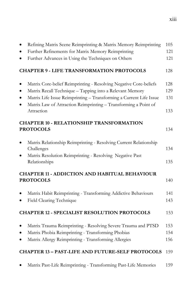| ٠         | Refining Matrix Scene Reimprinting & Matrix Memory Reimprinting<br>Further Refinements for Matrix Memory Reimprinting | 105<br>121 |
|-----------|-----------------------------------------------------------------------------------------------------------------------|------------|
|           | Further Advances in Using the Techniques on Others                                                                    | 121        |
|           | <b>CHAPTER 9 - LIFE TRANSFORMATION PROTOCOLS</b>                                                                      | 128        |
| ٠         | Matrix Core-belief Reimprinting - Resolving Negative Core-beliefs                                                     | 128        |
| ٠         | Matrix Recall Technique - Tapping into a Relevant Memory                                                              | 129        |
| ٠         | Matrix Life Issue Reimprinting - Transforming a Current Life Issue                                                    | 131        |
| $\bullet$ | Matrix Law of Attraction Reimprinting - Transforming a Point of                                                       |            |
|           | Attraction                                                                                                            | 133        |
|           | <b>CHAPTER 10 - RELATIONSHIP TRANSFORMATION</b>                                                                       |            |
|           | <b>PROTOCOLS</b>                                                                                                      | 134        |
|           | Matrix Relationship Reimprinting - Resolving Current Relationship                                                     |            |
|           | Challenges                                                                                                            | 134        |
|           | Matrix Resolution Reimprinting - Resolving Negative Past<br>Relationships                                             | 135        |
|           | <b>CHAPTER 11 - ADDICTION AND HABITUAL BEHAVIOUR</b>                                                                  |            |
|           | <b>PROTOCOLS</b>                                                                                                      | 140        |
|           | Matrix Habit Reimprinting - Transforming Addictive Behaviours                                                         | 141        |
|           | Field Clearing Technique                                                                                              | 143        |
|           | <b>CHAPTER 12 - SPECIALIST RESOLUTION PROTOCOLS</b>                                                                   | 153        |
|           | Matrix Trauma Reimprinting - Resolving Severe Trauma and PTSD                                                         | 153        |
|           | Matrix Phobia Reimprinting - Transforming Phobias                                                                     | 154        |
|           | Matrix Allergy Reimprinting - Transforming Allergies                                                                  | 156        |
|           | <b>CHAPTER 13 - PAST-LIFE AND FUTURE-SELF PROTOCOLS</b>                                                               | 159        |
|           | Matrix Past-Life Reimprinting - Transforming Past-Life Memories                                                       | 159        |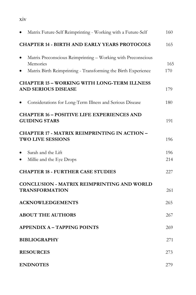| Matrix Future-Self Reimprinting - Working with a Future-Self                     | 160 |
|----------------------------------------------------------------------------------|-----|
| <b>CHAPTER 14 - BIRTH AND EARLY YEARS PROTOCOLS</b>                              | 165 |
| Matrix Preconscious Reimprinting - Working with Preconscious<br>Memories         | 165 |
| Matrix Birth Reimprinting - Transforming the Birth Experience                    | 170 |
| <b>CHAPTER 15 - WORKING WITH LONG-TERM ILLNESS</b><br><b>AND SERIOUS DISEASE</b> | 179 |
| Considerations for Long-Term Illness and Serious Disease                         | 180 |
| <b>CHAPTER 16 - POSITIVE LIFE EXPERIENCES AND</b><br><b>GUIDING STARS</b>        | 191 |
| <b>CHAPTER 17 - MATRIX REIMPRINTING IN ACTION -</b><br><b>TWO LIVE SESSIONS</b>  | 196 |
| Sarah and the Lift                                                               | 196 |
| Millie and the Eye Drops                                                         | 214 |
| <b>CHAPTER 18 - FURTHER CASE STUDIES</b>                                         | 227 |
| <b>CONCLUSION - MATRIX REIMPRINTING AND WORLD</b><br><b>TRANSFORMATION</b>       | 261 |
| <b>ACKNOWLEDGEMENTS</b>                                                          | 265 |
| <b>ABOUT THE AUTHORS</b>                                                         | 267 |
| <b>APPENDIX A - TAPPING POINTS</b>                                               | 269 |
| <b>BIBLIOGRAPHY</b>                                                              | 271 |
| <b>RESOURCES</b>                                                                 | 273 |
| <b>ENDNOTES</b>                                                                  | 279 |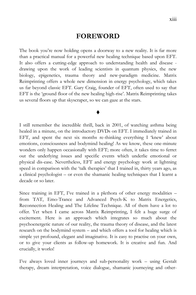### **FOREWORD**

The book you're now holding opens a doorway to a new reality. It is far more than a practical manual for a powerful new healing technique based upon EFT. It also offers a cutting-edge approach to understanding health and disease drawing upon the work of leading scientists in quantum physics, the new biology, epigenetics, trauma theory and new-paradigm medicine. Matrix Reimprinting offers a whole new dimension in energy psychology, which takes us far beyond classic EFT. Gary Craig, founder of EFT, often used to say that EFT is the 'ground floor of the new healing high-rise'. Matrix Reimprinting takes us several floors up that skyscraper, so we can gaze at the stars.

#### ♦

I still remember the incredible thrill, back in 2001, of watching asthma being healed in a minute, on the introductory DVDs on EFT. I immediately trained in EFT, and spent the next six months re-thinking everything I 'knew' about emotions, consciousness and bodymind healing! As we know, these one-minute wonders only happen occasionally with EFT; more often, it takes time to ferret out the underlying issues and specific events which underlie emotional or physical dis-ease. Nevertheless, EFT and energy psychology work at lightning speed in comparison with the 'talk therapies' that I trained in, thirty years ago, as a clinical psychologist – or even the shamanic healing techniques that I learnt a decade or so later.

Since training in EFT, I've trained in a plethora of other energy modalities – from TAT, Emo-Trance and Advanced Psych-K to Matrix Energetics, Reconnection Healing and The Lifeline Technique. All of them have a lot to offer. Yet when I came across Matrix Reimprinting, I felt a huge surge of excitement. Here is an approach which integrates so much about the psychoenergetic nature of our reality, the trauma theory of disease, and the latest research on the bodymind system – and which offers a tool for healing which is simple yet profound, elegant and imaginative. It is easy to practise on your own, or to give your clients as follow-up homework. It is creative and fun. And crucially, it works!

I've always loved inner journeys and sub-personality work – using Gestalt therapy, dream interpretation, voice dialogue, shamanic journeying and other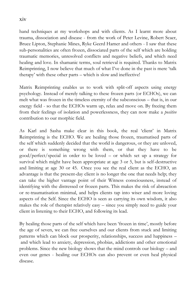hand techniques at my workshops and with clients. As I learnt more about trauma, dissociation and disease - from the work of Peter Levine, Robert Scaer, Bruce Lipton, Stephanie Mines, Ryke Geerd Hamer and others - I saw that these sub-personalities are often frozen, dissociated parts of the self which are holding traumatic memories, unresolved conflicts and negative beliefs, and which need healing and love. In shamanic terms, soul retrieval is required. Thanks to Matrix Reimprinting, I now believe that much of what I've done in the past is mere 'talk therapy' with these other parts – which is slow and ineffective!

Matrix Reimprinting enables us to work with split-off aspects using energy psychology. Instead of merely talking to these frozen parts (or ECHOs), we can melt what was frozen in the timeless eternity of the subconscious – that is, in our energy field - so that the ECHOs warm up, relax and move on. By freeing them from their feelings of isolation and powerlessness, they can now make a *positive* contribution to our morphic field.

As Karl and Sasha make clear in this book, the real 'client' in Matrix Reimprinting is the ECHO. We are healing those frozen, traumatised parts of the self which suddenly decided that the world is dangerous, or they are unloved, or there is something wrong with them, or that they have to be good/perfect/special in order to be loved – or which set up a strategy for survival which might have been appropriate at age 3 or 5, but is self-destructive and limiting at age 30 or 45. Once you see the real client as the ECHO, an advantage is that the present-day client is no longer the one that needs help; they can take the higher vantage point of their Witness consciousness, instead of identifying with the distressed or frozen parts. This makes the risk of abreaction or re-traumatisation minimal, and helps clients tap into wiser and more loving aspects of the Self. Since the ECHO is seen as carrying its own wisdom, it also makes the role of therapist relatively easy – since you simply need to guide your client in listening to their ECHO, and following its lead.

By healing those parts of the self which have been 'frozen in time', mostly before the age of seven, we can free ourselves and our clients from stuck and limiting patterns which can block our prosperity, relationships, success and happiness – and which lead to anxiety, depression, phobias, addictions and other emotional problems. Since the new biology shows that the mind controls our biology – and even our genes - healing our ECHOs can also prevent or even heal physical disease.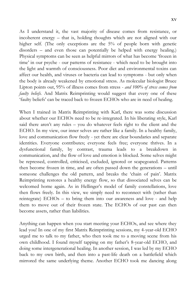As I understand it, the vast majority of disease comes from resistance, or incoherent energy – that is, holding thoughts which are not aligned with our higher self. (The only exceptions are the 5% of people born with genetic disorders – and even those can potentially be helped with energy healing.) Physical symptoms can be seen as helpful mirrors of what has become 'frozen in time' in our psyche - our patterns of resistance - which need to be brought into the light and warmth of consciousness. Poor diet and environmental toxins can affect our health, and viruses or bacteria can lead to symptoms - but only when the body is already weakened by emotional stress. As molecular biologist Bruce Lipton points out, 95% of illness comes from stress - *and 100% of stress comes from faulty beliefs.* And Matrix Reimprinting would suggest that every one of these

'faulty beliefs' can be traced back to frozen ECHOs who are in need of healing.

When I trained in Matrix Reimprinting with Karl, there was some discussion about whether our ECHOs need to be re-integrated. In his liberating style, Karl said there aren't any rules – you do whatever feels right to the client and the ECHO. In my view, our inner selves are rather like a family. In a healthy family, love and communication flow freely - yet there are clear boundaries and separate identities. Everyone contributes; everyone feels free; everyone thrives. In a dysfunctional family, by contrast, trauma leads to a breakdown in communication, and the flow of love and emotion is blocked. Some selves might be repressed, controlled, criticised, excluded, ignored or scapegoated. Patterns then become frozen in time, and are often passed down the generations – until someone challenges the old pattern, and breaks the 'chain of pain'. Matrix Reimprinting restores a healthy energy flow, so that dissociated selves can be welcomed home again. As in Hellinger's model of family constellations, love then flows freely. In this view, we simply need to reconnect with (rather than reintegrate) ECHOs – to bring them into our awareness and love - and help them to move out of their frozen state. The ECHOs of our past can then become assets, rather than liabilities.

Anything can happen when you start meeting your ECHOs, and see where they lead you! In one of my first Matrix Reimprinting sessions, my 4-year-old ECHO urged me to talk to my father, who then took me to a moving scene from his own childhood. I found myself tapping on my father's 8-year-old ECHO, and doing some intergenerational healing. In another session, I was led by my ECHO back to my own birth, and then into a past-life death on a battlefield which mirrored the same underlying theme. Another ECHO took me dancing along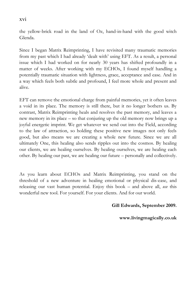the yellow-brick road in the land of Oz, hand-in-hand with the good witch Glenda.

Since I began Matrix Reimprinting, I have revisited many traumatic memories from my past which I had already 'dealt with' using EFT. As a result, a personal issue which I had worked on for nearly 30 years has shifted profoundly in a matter of weeks. After working with my ECHOs, I found myself handling a potentially traumatic situation with lightness, grace, acceptance and ease. And in a way which feels both subtle and profound, I feel more whole and present and alive.

EFT can remove the emotional charge from painful memories, yet it often leaves a void in its place. The memory is still there, but it no longer bothers us. By contrast, Matrix Reimprinting heals and resolves the past memory, and leaves a new memory in its place – so that conjuring up the old memory now brings up a joyful energetic imprint. We get whatever we send out into the Field, according to the law of attraction, so holding these positive new images not only feels good, but also means we are creating a whole new future. Since we are all ultimately One, this healing also sends ripples out into the cosmos. By healing our clients, we are healing ourselves. By healing ourselves, we are healing each other. By healing our past, we are healing our future – personally and collectively.

As you learn about ECHOs and Matrix Reimprinting, you stand on the threshold of a new adventure in healing emotional or physical dis-ease, and releasing our vast human potential. Enjoy this book – and above all, *use* this wonderful new tool. For yourself. For your clients. And for our world.

#### **Gill Edwards, September 2009.**

**[www.livingmagically.co.uk](http://www.livingmagically.co.uk/)**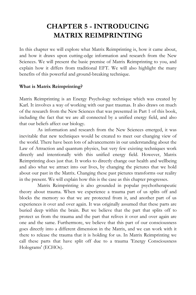# **CHAPTER 5 - INTRODUCING MATRIX REIMPRINTING**

In this chapter we will explore what Matrix Reimprinting is, how it came about, and how it draws upon cutting-edge information and research from the New Sciences. We will present the basic premise of Matrix Reimprinting to you, and explain how it differs from traditional EFT. We will also highlight the many benefits of this powerful and ground-breaking technique.

#### **What is Matrix Reimprinting?**

Matrix Reimprinting is an Energy Psychology technique which was created by Karl. It involves a way of working with our past traumas. It also draws on much of the research from the New Sciences that was presented in Part 1 of this book, including the fact that we are all connected by a unified energy field, and also that our beliefs affect our biology.

As information and research from the New Sciences emerged, it was inevitable that new techniques would be created to meet our changing view of the world. There have been lots of advancements in our understanding about the Law of Attraction and quantum physics, but very few existing techniques work directly and intentionally with this unified energy field. However, Matrix Reimprinting does just that. It works to directly change our health and wellbeing and also what we attract into our lives, by changing the pictures that we hold about our past in the Matrix. Changing these past pictures transforms our reality in the present. We will explain how this is the case as this chapter progresses.

Matrix Reimprinting is also grounded in popular psychotherapeutic theory about trauma. When we experience a trauma part of us splits off and blocks the memory so that we are protected from it, and another part of us experiences it over and over again. It was originally assumed that these parts are buried deep within the brain. But we believe that the part that splits off to protect us from the trauma and the part that relives it over and over again are one and the same. Furthermore, we believe that this part of our consciousness goes directly into a different dimension in the Matrix, and we can work with it there to release the trauma that it is holding for us. In Matrix Reimprinting we call these parts that have split off due to a trauma 'Energy Consciousness Holograms' (ECHOs).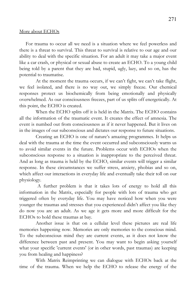#### More about ECHOs

 For trauma to occur all we need is a situation where we feel powerless and there is a threat to survival. This threat to survival is relative to our age and our ability to deal with the specific situation. For an adult it may take a major event like a car crash, or physical or sexual abuse to create an ECHO. To a young child being told by a parent that they are bad, stupid, ugly, lazy, and so on, has the potential to traumatise.

At the moment the trauma occurs, if we can't fight, we can't take flight, we feel isolated, and there is no way out, we simply freeze. Our chemical responses protect us biochemically from being emotionally and physically overwhelmed. As our consciousness freezes, part of us splits off energetically. At this point, the ECHO is created.

When the ECHO splits off it is held in the Matrix. The ECHO contains all the information of the traumatic event. It creates the effect of amnesia. The event is numbed out from consciousness as if it never happened. But it lives on in the images of our subconscious and dictates our response to future situations.

Creating an ECHO is one of nature's amazing programmes. It helps us deal with the trauma at the time the event occurred and subconsciously warns us to avoid similar events in the future. Problems occur with ECHOs when the subconscious response to a situation is inappropriate to the perceived threat. And as long as trauma is held by the ECHO, similar events will trigger a similar response. In these circumstances we suffer stress, anxiety, phobias and so on, which affect our interactions in everyday life and eventually take their toll on our physiology.

A further problem is that it takes lots of energy to hold all this information in the Matrix, especially for people with lots of trauma who get triggered often by everyday life. You may have noticed how when you were younger the traumas and stresses that you experienced didn't affect you like they do now you are an adult. As we age it gets more and more difficult for the ECHOs to hold these traumas at bay.

Another issue is that on a cellular level these pictures are real life memories happening now. Memories are only memories to the conscious mind. To the subconscious mind they are current events, as it does not know the difference between past and present. You may want to begin asking yourself what your specific 'current events' (or in other words, past traumas) are keeping you from healing and happiness?

With Matrix Reimprinting we can dialogue with ECHOs back at the time of the trauma. When we help the ECHO to release the energy of the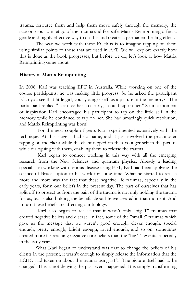trauma, resource them and help them move safely through the memory, the subconscious can let go of the trauma and feel safe. Matrix Reimprinting offers a gentle and highly effective way to do this and creates a permanent healing effect.

The way we work with these ECHOs is to imagine tapping on them using similar points to those that are used in EFT. We will explore exactly how this is done as the book progresses, but before we do, let's look at how Matrix Reimprinting came about.

#### **History of Matrix Reimprinting**

In 2006, Karl was teaching EFT in Australia. While working on one of the course participants, he was making little progress. So he asked the participant "Can you see that little girl, your younger self, as a picture in the memory?" The participant replied "I can see her so clearly, I could tap on her." So in a moment of inspiration Karl encouraged his participant to tap on the little self in the memory while he continued to tap on her. She had amazingly quick resolution, and Matrix Reimprinting was born!

For the next couple of years Karl experimented extensively with the technique. At this stage it had no name, and it just involved the practitioner tapping on the client while the client tapped on their younger self in the picture while dialoguing with them, enabling them to release the trauma.

Karl began to connect working in this way with all the emerging research from the New Sciences and quantum physics. Already a leading specialist in working with serious disease using EFT, Karl had been applying the science of Bruce Lipton to his work for some time. What he started to realise more and more was the fact that these negative life traumas, especially in the early years, form our beliefs in the present day. The part of ourselves that has split off to protect us from the pain of the trauma is not only holding the trauma for us, but is also holding the beliefs about life we created in that moment. And in turn these beliefs are affecting our biology.

Karl also began to realise that it wasn't only "big T" traumas that created negative beliefs and disease. In fact, some of the "small t" traumas which gave us the message that we weren't good enough, clever enough, special enough, pretty enough, bright enough, loved enough, and so on, sometimes created more far reaching negative core-beliefs than the "big T" events, especially in the early years.

What Karl began to understand was that to change the beliefs of his clients in the present, it wasn't enough to simply release the information that the ECHO had taken on about the trauma using EFT. The picture itself had to be changed. This is not denying the past event happened. It is simply transforming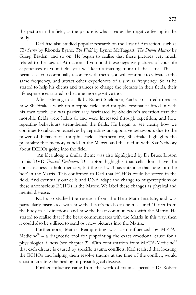the picture in the field, as the picture is what creates the negative feeling in the body.

Karl had also studied popular research on the Law of Attraction, such as *The Secret* by Rhonda Byrne, *The Field* by Lynne McTaggart, *The Divine Matrix* by Gregg Braden, and so on. He began to realise that these pictures very much related to the Law of Attraction. If you hold these negative pictures of your life experiences in your field, you will keep attracting more of the same. This is because as you continually resonate with them, you will continue to vibrate at the same frequency, and attract other experiences of a similar frequency. So as he started to help his clients and trainees to change the pictures in their fields, their life experiences started to become more positive too.

After listening to a talk by Rupert Sheldrake, Karl also started to realise how Sheldrake's work on morphic fields and morphic resonance fitted in with his own work. He was particularly fascinated by Sheldrake's assertion that the morphic fields were habitual, and were increased through repetition, and how repeating behaviours strengthened the fields. He began to see clearly how we continue to sabotage ourselves by repeating unsupportive behaviours due to the power of behavioural morphic fields. Furthermore, Sheldrake highlights the possibility that memory is held in the Matrix, and this tied in with Karl's theory about ECHOs going into the field.

An idea along a similar theme was also highlighted by Dr Bruce Lipton in his DVD *Fractal Evolution*. Dr Lipton highlights that cells don't have the consciousness to hold memory, but the cell wall has antennae that tune into the 'self' in the Matrix. This confirmed to Karl that ECHOs could be stored in the field. And eventually our cells and DNA adapt and change to misperceptions of these unconscious ECHOs in the Matrix. We label these changes as physical and mental dis-ease.

Karl also studied the research from the HeartMath Institute, and was particularly fascinated with how the heart's fields can be measured 10 feet from the body in all directions, and how the heart communicates with the Matrix. He started to realise that if the heart communicates with the Matrix in this way, then it could also be utilised to send out new pictures into the Matrix.

Furthermore, Matrix Reimprinting was also influenced by META-Medicine $^{\circledR}$  – a diagnostic tool for pinpointing the exact emotional cause for a physiological illness (see chapter 3). With confirmation from META-Medicine® that each disease is caused by specific trauma conflicts, Karl realised that locating the ECHOs and helping them resolve trauma at the time of the conflict, would assist in creating the healing of physiological disease.

Further influence came from the work of trauma specialist Dr Robert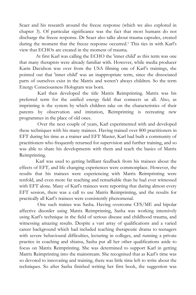Scaer and his research around the freeze response (which we also explored in chapter 3). Of particular significance was the fact that most humans do not discharge the freeze response. Dr Scaer also talks about trauma capsules, created during the moment that the freeze response occurred.<sup>1</sup> This ties in with Karl's view that ECHOs are created in the moment of trauma.

At first Karl was calling the ECHO the 'inner child' as this term was one that many therapists were already familiar with. However, while media producer Karin Davidson was over from the USA filming one of Karl's trainings, she pointed out that 'inner child' was an inappropriate term, since the dissociated parts of ourselves exist in the Matrix and weren't always children. So the term Energy Consciousness Hologram was born.

Karl then developed the title Matrix Reimprinting. Matrix was his preferred term for the unified energy field that connects us all. Also, as imprinting is the system by which children take on the characteristics of their parents by observation and imitation, Reimprinting is recreating new programmes in the place of old ones.

Over the next couple of years, Karl experimented with and developed these techniques with his many trainees. Having trained over 800 practitioners in EFT during his time as a trainer and EFT Master, Karl had built a community of practitioners who frequently returned for supervision and further training, and so was able to share his developments with them and teach the basics of Matrix Reimprinting.

Karl was used to getting brilliant feedback from his trainees about the effects of EFT, and life changing experiences were commonplace. However, the results that his trainees were experiencing with Matrix Reimprinting were tenfold, and even more far reaching and remarkable than he had ever witnessed with EFT alone. Many of Karl's trainees were reporting that during almost every EFT session, there was a call to use Matrix Reimprinting, and the results for practically all Karl's trainees were consistently phenomenal.

One such trainee was Sasha. Having overcome CFS/ME and bipolar affective disorder using Matrix Reimprinting, Sasha was working intensively using Karl's technique in the field of serious disease and childhood trauma, and witnessing amazing results. Despite a vast array of qualifications and a varied career background which had included teaching therapeutic drama to teenagers with severe behavioural difficulties, lecturing in colleges, and running a private practice in coaching and shiatsu, Sasha put all her other qualifications aside to focus on Matrix Reimprinting. She was determined to support Karl in getting Matrix Reimprinting into the mainstream. She recognised that as Karl's time was so devoted to innovating and training, there was little time left to write about the techniques. So after Sasha finished writing her first book, the suggestion was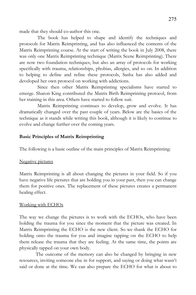made that they should co-author this one.

The book has helped to shape and identify the techniques and protocols for Matrix Reimprinting, and has also influenced the contents of the Matrix Reimprinting course. At the start of writing the book in July 2008, there was only one Matrix Reimprinting technique (Matrix Scene Reimprinting). There are now two foundation techniques, but also an array of protocols for working specifically with trauma, relationships, phobias, allergies, and so on. In addition to helping to define and refine these protocols, Sasha has also added and developed her own protocol on working with addictions.

Since then other Matrix Reimprinting specialisms have started to emerge. Sharon King contributed the Matrix Birth Reimprinting protocol, from her training in this area. Others have started to follow suit.

Matrix Reimprinting continues to develop, grow and evolve. It has dramatically changed over the past couple of years. Below are the basics of the technique as it stands while writing this book, although it is likely to continue to evolve and change further over the coming years.

#### **Basic Principles of Matrix Reimprinting**

The following is a basic outline of the main principles of Matrix Reimprinting:

#### Negative pictures

Matrix Reimprinting is all about changing the pictures in your field. So if you have negative life pictures that are holding you in your past, then you can change them for positive ones. The replacement of these pictures creates a permanent healing effect.

#### Working with ECHOs

The way we change the pictures is to work with the ECHOs, who have been holding the trauma for you since the moment that the picture was created. In Matrix Reimprinting the ECHO is the new client. So we thank the ECHO for holding onto the trauma for you and imagine tapping on the ECHO to help them release the trauma that they are feeling. At the same time, the points are physically tapped on your own body.

The outcome of the memory can also be changed by bringing in new resources, inviting someone else in for support, and saying or doing what wasn't said or done at the time. We can also prepare the ECHO for what is about to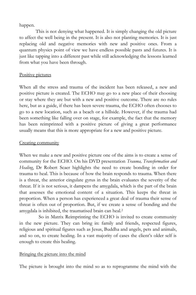happen.

This is not denying what happened. It is simply changing the old picture to affect the well being in the present. It is also not planting memories. It is just replacing old and negative memories with new and positive ones. From a quantum physics point of view we have endless possible pasts and futures. It is just like tapping into a different past while still acknowledging the lessons learned from what you have been through.

#### Positive pictures

When all the stress and trauma of the incident has been released, a new and positive picture is created. The ECHO may go to a new place of their choosing or stay where they are but with a new and positive outcome. There are no rules here, but as a guide, if there has been severe trauma, the ECHO often chooses to go to a new location, such as a beach or a hillside. However, if the trauma had been something like falling over on stage, for example, the fact that the memory has been reimprinted with a positive picture of giving a great performance usually means that this is more appropriate for a new and positive picture.

#### Creating community

When we make a new and positive picture one of the aims is to create a sense of community for the ECHO. On his DVD presentation *Trauma, Transformation and Healing*, Dr Robert Scaer highlights the need to create bonding in order for trauma to heal. This is because of how the brain responds to trauma. When there is a threat, the anterior cingulate gyrus in the brain evaluates the severity of the threat. If it is not serious, it dampens the amygdala, which is the part of the brain that assesses the emotional content of a situation. This keeps the threat in proportion. When a person has experienced a great deal of trauma their sense of threat is often out of proportion. But, if we create a sense of bonding and the amygdala is inhibited, the traumatised brain can heal.<sup>2</sup>

So in Matrix Reimprinting the ECHO is invited to create community in the new picture. They can bring in: family and friends, respected figures, religious and spiritual figures such as Jesus, Buddha and angels, pets and animals, and so on, to create healing. In a vast majority of cases the client's older self is enough to create this healing.

#### Bringing the picture into the mind

The picture is brought into the mind so as to reprogramme the mind with the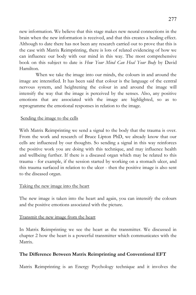new information. We believe that this stage makes new neural connections in the brain when the new information is received, and that this creates a healing effect. Although to date there has not been any research carried out to prove that this is the case with Matrix Reimprinting, there is lots of related evidencing of how we can influence our body with our mind in this way. The most comprehensive book on this subject to date is *How Your Mind Can Heal Your Body* by David Hamilton.

When we take the image into our minds, the colours in and around the image are intensified. It has been said that colour is the language of the central nervous system, and heightening the colour in and around the image will intensify the way that the image is perceived by the senses. Also, any positive emotions that are associated with the image are highlighted, so as to reprogramme the emotional responses in relation to the image.

#### Sending the image to the cells

With Matrix Reimprinting we send a signal to the body that the trauma is over. From the work and research of Bruce Lipton PhD, we already know that our cells are influenced by our thoughts. So sending a signal in this way reinforces the positive work you are doing with this technique, and may influence health and wellbeing further. If there is a diseased organ which may be related to this trauma - for example, if the session started by working on a stomach ulcer, and this trauma surfaced in relation to the ulcer - then the positive image is also sent to the diseased organ.

#### Taking the new image into the heart

The new image is taken into the heart and again, you can intensify the colours and the positive emotions associated with the picture.

#### Transmit the new image from the heart

In Matrix Reimprinting we see the heart as the transmitter. We discussed in chapter 2 how the heart is a powerful transmitter which communicates with the Matrix.

#### **The Difference Between Matrix Reimprinting and Conventional EFT**

Matrix Reimprinting is an Energy Psychology technique and it involves the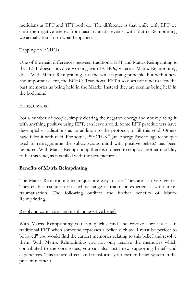meridians as EFT and TFT both do. The difference is that while with EFT we clear the negative energy from past traumatic events, with Matrix Reimprinting we actually transform what happened.

#### Tapping on ECHOs

One of the main differences between traditional EFT and Matrix Reimprinting is that EFT doesn't involve working with ECHOs, whereas Matrix Reimprinting does. With Matrix Reimprinting it is the same tapping principle, but with a new and important client, the ECHO. Traditional EFT also does not tend to view the past memories as being held in the Matrix. Instead they are seen as being held in the bodymind*.*

#### Filling the void

For a number of people, simply clearing the negative energy and not replacing it with anything positive using EFT, can leave a void. Some EFT practitioners have developed visualisations as an addition to the protocol, to fill this void. Others have filled it with reiki*.* For some, PSYCH-K ® (an Energy Psychology technique used to reprogramme the subconscious mind with positive beliefs) has been favoured. With Matrix Reimprinting there is no need to employ another modality to fill this void, as it is filled with the new picture.

#### **Benefits of Matrix Reimprinting**

The Matrix Reimprinting techniques are easy to use. They are also very gentle. They enable resolution on a whole range of traumatic experiences without retraumatisation. The following outlines the further benefits of Matrix Reimprinting.

#### Resolving core issues and instilling positive beliefs

With Matrix Reimprinting you can quickly find and resolve core issues. In traditional EFT when someone expresses a belief such as "I must be perfect to be loved" you would find the earliest memories relating to this belief and resolve them. With Matrix Reimprinting you not only resolve the memories which contributed to the core issues, you can also instil new supporting beliefs and experiences. This in turn affects and transforms your current belief system in the present moment.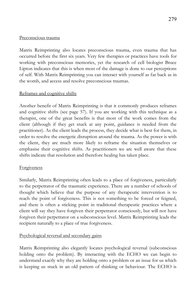#### Preconscious trauma

Matrix Reimprinting also locates preconscious trauma, even trauma that has occurred before the first six years. Very few therapies or practices have tools for working with preconscious memories, yet the research of cell biologist Bruce Lipton indicates that this is when most of the damage is done to our perceptions of self. With Matrix Reimprinting you can interact with yourself as far back as in the womb, and access and resolve preconscious traumas.

#### Reframes and cognitive shifts

Another benefit of Matrix Reimprinting is that it commonly produces reframes and cognitive shifts (see page 57). If you are working with this technique as a therapist, one of the great benefits is that most of the work comes from the client (although if they get stuck at any point, guidance is needed from the practitioner). As the client leads the process, they decide what is best for them, in order to resolve the energetic disruption around the trauma. As the power is with the client, they are much more likely to reframe the situation themselves or emphasise their cognitive shifts. As practitioners we are well aware that these shifts indicate that resolution and therefore healing has taken place.

#### **Forgiveness**

Similarly, Matrix Reimprinting often leads to a place of forgiveness, particularly to the perpetrator of the traumatic experience. There are a number of schools of thought which believe that the purpose of any therapeutic intervention is to reach the point of forgiveness. This is not something to be forced or feigned, and there is often a sticking point in traditional therapeutic practices where a client will say they have forgiven their perpetrator consciously, but will not have forgiven their perpetrator on a subconscious level. Matrix Reimprinting leads the recipient naturally to a place of true forgiveness.

#### Psychological reversal and secondary gains

Matrix Reimprinting also elegantly locates psychological reversal (subconscious holding onto the problem). By interacting with the ECHO we can begin to understand exactly why they are holding onto a problem or an issue for us which is keeping us stuck in an old pattern of thinking or behaviour. The ECHO is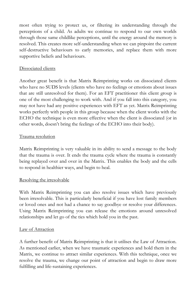most often trying to protect us, or filtering its understanding through the perceptions of a child. As adults we continue to respond to our own worlds through those same childlike perceptions, until the energy around the memory is resolved. This creates more self-understanding when we can pinpoint the current self-destructive behaviours to early memories, and replace them with more supportive beliefs and behaviours.

#### Dissociated clients

Another great benefit is that Matrix Reimprinting works on dissociated clients who have no SUDS levels (clients who have no feelings or emotions about issues that are still unresolved for them). For an EFT practitioner this client group is one of the most challenging to work with. And if you fall into this category, you may not have had any positive experiences with EFT as yet. Matrix Reimprinting works perfectly with people in this group because when the client works with the ECHO the technique is even more effective when the client is dissociated (or in other words, doesn't bring the feelings of the ECHO into their body).

#### Trauma resolution

Matrix Reimprinting is very valuable in its ability to send a message to the body that the trauma is over. It ends the trauma cycle where the trauma is constantly being replayed over and over in the Matrix. This enables the body and the cells to respond in healthier ways, and begin to heal.

#### Resolving the irresolvable

With Matrix Reimprinting you can also resolve issues which have previously been irresolvable. This is particularly beneficial if you have lost family members or loved ones and not had a chance to say goodbye or resolve your differences. Using Matrix Reimprinting you can release the emotions around unresolved relationships and let go of the ties which hold you in the past.

#### Law of Attraction

A further benefit of Matrix Reimprinting is that it utilises the Law of Attraction. As mentioned earlier, when we have traumatic experiences and hold them in the Matrix, we continue to attract similar experiences. With this technique, once we resolve the trauma, we change our point of attraction and begin to draw more fulfilling and life-sustaining experiences.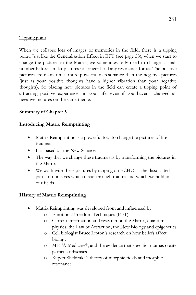#### Tipping point

When we collapse lots of images or memories in the field, there is a tipping point. Just like the Generalisation Effect in EFT (see page 58), when we start to change the pictures in the Matrix, we sometimes only need to change a small number before similar pictures no longer hold any resonance for us. The positive pictures are many times more powerful in resonance than the negative pictures (just as your positive thoughts have a higher vibration than your negative thoughts). So placing new pictures in the field can create a tipping point of attracting positive experiences in your life, even if you haven't changed all negative pictures on the same theme.

#### **Summary of Chapter 5**

#### **Introducing Matrix Reimprinting**

- Matrix Reimprinting is a powerful tool to change the pictures of life traumas
- It is based on the New Sciences
- The way that we change these traumas is by transforming the pictures in the Matrix
- $\bullet$  We work with these pictures by tapping on ECHOs the dissociated parts of ourselves which occur through trauma and which we hold in our fields

#### **History of Matrix Reimprinting**

- Matrix Reimprinting was developed from and influenced by:
	- o Emotional Freedom Techniques (EFT)
	- o Current information and research on the Matrix, quantum physics, the Law of Attraction, the New Biology and epigenetics
	- o Cell biologist Bruce Lipton's research on how beliefs affect biology
	- o META-Medicine®, and the evidence that specific traumas create particular diseases
	- o Rupert Sheldrake's theory of morphic fields and morphic resonance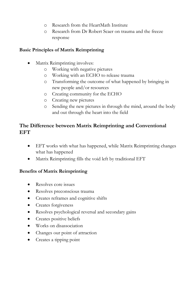- o Research from the HeartMath Institute
- o Research from Dr Robert Scaer on trauma and the freeze response

#### **Basic Principles of Matrix Reimprinting**

- Matrix Reimprinting involves:
	- o Working with negative pictures
	- o Working with an ECHO to release trauma
	- o Transforming the outcome of what happened by bringing in new people and/or resources
	- o Creating community for the ECHO
	- o Creating new pictures
	- o Sending the new pictures in through the mind, around the body and out through the heart into the field

#### **The Difference between Matrix Reimprinting and Conventional EFT**

- EFT works with what has happened, while Matrix Reimprinting changes what has happened
- Matrix Reimprinting fills the void left by traditional EFT

#### **Benefits of Matrix Reimprinting**

- Resolves core issues
- Resolves preconscious trauma
- Creates reframes and cognitive shifts
- Creates forgiveness
- Resolves psychological reversal and secondary gains
- Creates positive beliefs
- Works on disassociation
- Changes our point of attraction
- Creates a tipping point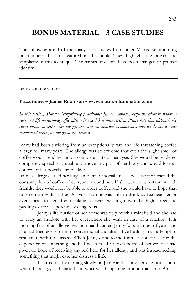## **BONUS MATERIAL – 3 CASE STUDIES**

The following are 3 of the many case studies from other Matrix Reimprinting practitioners that are featured in the book. They highlight the power and simplicity of this technique. The names of clients have been changed to protect identity.

#### Jenny and the Coffee

#### **Practitioner – James Robinson - [www.matrix-illumination.com](http://www.matrix-illumination.com/)**

*In this session, Matrix Reimprinting practitioner James Robinson helps his client to resolve a rare and life threatening coffee allergy in one 30 minute session. Please note that although the client insists on testing her allergy, hers was an unusual circumstance, and we do not usually recommend testing an allergy of this severity.*

Jenny had been suffering from an exceptionally rare and life threatening coffee allergy for many years. The allergy was so extreme that even the slight smell of coffee would send her into a complete state of paralysis. She would be rendered completely speechless, unable to move any part of her body and would lose all control of her bowels and bladder.

Jenny's allergy caused her huge amounts of social unease because it restricted the consumption of coffee of everyone around her. If she went to a restaurant with friends, they would not be able to order coffee and she would have to hope that no one nearby did either. At work no one was able to drink coffee near her or even speak to her after drinking it. Even walking down the high street and passing a cafe was potentially dangerous.

Jenny's life outside of her home was very much a minefield and she had to carry an antidote with her everywhere she went in case of a reaction. This looming fear of an allergic reaction had haunted Jenny for a number of years and she had tried every form of conventional and alternative healing in an attempt to resolve it, with no success. When Jenny came to me for a session it was for the experience of something she had never tried or even heard of before. She had given up hope of receiving any real help for her allergy, and was instead seeking something that might ease her distress a little.

I started off by tapping slowly on Jenny and asking her questions about when the allergy had started and what was happening around that time. Almost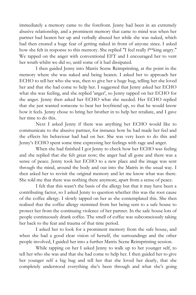immediately a memory came to the forefront. Jenny had been in an extremely abusive relationship, and a prominent memory that came to mind was when her partner had beaten her up and verbally abused her while she was naked, which had then created a huge fear of getting naked in front of anyone since. I asked how she felt in response to this memory. She replied "I feel really  $f^{**}$ king angry." We tapped on the anger with conventional EFT and I encouraged her to vent her wrath whilst we did so, until some of it had dissipated.

I then guided Jenny into Matrix Scene Reimprinting, at the point in the memory where she was naked and being beaten. I asked her to approach her ECHO to tell her who she was, then to give her a huge hug, telling her she loved her and that she had come to help her. I suggested that Jenny asked her ECHO what she was feeling, and she replied 'anger', so Jenny tapped on her ECHO for the anger. Jenny then asked her ECHO what she needed. Her ECHO replied that she just wanted someone to beat her boyfriend up, so that he would know how it feels. Jenny chose to bring her brother in to help her retaliate, and I gave her time to do this.

Next I asked Jenny if there was anything her ECHO would like to communicate to the abusive partner, for instance how he had made her feel and the effects his behaviour had had on her. She was very keen to do this and Jenny's ECHO spent some time expressing her feelings with rage and anger.

When she had finished I got Jenny to check how her ECHO was feeling and she replied that she felt great now; the anger had all gone and there was a sense of peace. Jenny took her ECHO to a new place and the image was sent through the mind, around the body and out into the Matrix in the usual way. I then asked her to revisit the original memory and let me know what was there. She told me that there was nothing there anymore, apart from a sense of peace.

I felt that this wasn't the basis of the allergy but that it may have been a contributing factor, so I asked Jenny to question whether this was the root cause of the coffee allergy. I slowly tapped on her as she contemplated this. She then realised that the coffee allergy stemmed from her being sent to a safe house to protect her from the continuing violence of her partner. In the safe house lots of people continuously drank coffee. The smell of coffee was subconsciously taking her back to the fear and trauma of that time period.

I asked her to look for a prominent memory from the safe house, and when she had a good clear vision of herself, the surroundings and the other people involved, I guided her into a further Matrix Scene Reimprinting session.

While tapping on her I asked Jenny to walk up to her younger self, to tell her who she was and that she had come to help her. I then guided her to give her younger self a big hug and tell her that she loved her dearly, that she completely understood everything she's been through and what she's going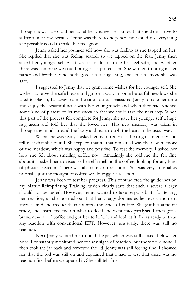through now. I also told her to let her younger self know that she didn't have to suffer alone now because Jenny was there to help her and would do everything she possibly could to make her feel good.

Jenny asked her younger self how she was feeling as she tapped on her. She replied that she was feeling scared, so we tapped on the fear. Jenny then asked her younger self what we could do to make her feel safe, and whether there was someone we could bring in to protect her. She wanted to bring in her father and brother, who both gave her a huge hug, and let her know she was safe.

I suggested to Jenny that we grant some wishes for her younger self. She wished to leave the safe house and go for a walk in some beautiful meadows she used to play in, far away from the safe house. I reassured Jenny to take her time and enjoy the beautiful walk with her younger self and when they had reached some kind of plateau to let me know so that we could take the next step. When this part of the process felt complete for Jenny, she gave her younger self a huge hug again and told her that she loved her. This new memory was taken in through the mind, around the body and out through the heart in the usual way.

When she was ready I asked Jenny to return to the original memory and tell me what she found. She replied that all that remained was the new memory of the meadow, which was happy and positive. To test the memory, I asked her how she felt about smelling coffee now. Amazingly she told me she felt fine about it. I asked her to visualise herself smelling the coffee, looking for any kind of physical reaction. There was absolutely no reaction. This was very unusual as normally just the thought of coffee would trigger a reaction.

Jenny was keen to test her progress. This contradicted the guidelines on my Matrix Reimprinting Training, which clearly state that such a severe allergy should not be tested. However, Jenny wanted to take responsibility for testing her reaction, as she pointed out that her allergy dominates her every moment anyway, and she frequently encounters the smell of coffee. She got her antidote ready, and instructed me on what to do if she went into paralysis. I then got a brand new jar of coffee and got her to hold it and look at it. I was ready to treat any reaction with conventional EFT. However, unusually, there was still no reaction.

Next Jenny wanted me to hold the jar, which was still closed, below her nose. I constantly monitored her for any signs of reaction, but there were none. I then took the jar back and removed the lid. Jenny was still feeling fine. I showed her that the foil was still on and explained that I had to test that there was no reaction first before we opened it. She still felt fine.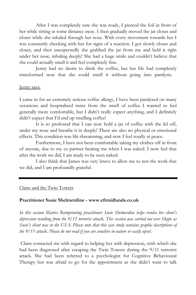After I was completely sure she was ready, I pierced the foil in front of her while sitting at some distance away. I then gradually moved the jar closer and closer while she inhaled through her nose. With every movement towards her I was constantly checking with her for signs of a reaction. I got slowly closer and closer, and then unexpectedly she grabbed the jar from me and held it right under her nose, inhaling deeply! She had a huge smile and couldn't believe that she could actually smell it and feel completely fine.

Jenny had no desire to drink the coffee, but her life had completely transformed now that she could smell it without going into paralysis.

#### Jenny says:

I came in for an extremely serious coffee allergy, I have been paralysed on many occasions and hospitalised twice from the smell of coffee. I wanted to feel generally more comfortable, but I didn't really expect anything, and I definitely didn't expect that I'd end up smelling coffee!

It is so profound that I can now hold a jar of coffee with the lid off, under my nose and breathe it in deeply! There are also no physical or emotional effects. This condition was life-threatening, and now I feel totally at peace.

Furthermore, I have not been comfortable taking my clothes off in front of anyone, due to my ex-partner beating me when I was naked. I now feel that after the work we did, I am ready to be seen naked.

I also think that James was very brave to allow me to test the work that we did, and I am profoundly grateful.

#### Claire and the Twin Towers

#### **Practitioner Susie Shelmerdine - [www.eftmidlands.co.uk](http://www.eftmidlands.co.uk/)**

*In this session Matrix Reimprinting practitioner Susie Shelmerdine helps resolve her client's depression resulting from the 9/11 terrorist attack. This session was carried out over Skype as Susie's client was in the USA. Please note that this case study contains graphic descriptions of the 9/11 attack. Please do not read if you are sensitive in nature or easily upset.*

Claire contacted me with regard to helping her with depression, with which she had been diagnosed after escaping the Twin Towers during the 9/11 terrorist attack. She had been referred to a psychologist for Cognitive Behavioural Therapy but was afraid to go for the appointment as she didn't want to talk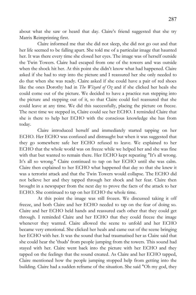about what she saw or heard that day. Claire's friend suggested that she try Matrix Reimprinting first.

Claire informed me that she did not sleep, she did not go out and that her life seemed to be falling apart. She told me of a particular image that haunted her. It was there every time she closed her eyes. The image was of herself outside the Twin Towers. Claire had escaped from one of the towers and was outside when the shock hit her. At this point she didn't know what had happened. Claire asked if she had to step into the picture and I reassured her she only needed to do that when she was ready. Claire asked if she could have a pair of red shoes like the ones Dorothy had in *The Wizard of Oz* and if she clicked her heals she could come out of the picture. We decided to have a practice run stepping into the picture and stepping out of it, so that Claire could feel reassured that she could leave at any time. We did this successfully, placing the picture on freeze. The next time we stepped in, Claire could see her ECHO. I reminded Claire that she is there to help her ECHO with the conscious knowledge she has from today.

Claire introduced herself and immediately started tapping on her ECHO. Her ECHO was confused and distraught but when it was suggested that they go somewhere safe her ECHO refused to leave. We explained to her ECHO that the whole world was on freeze while we helped her and she was fine with that but wanted to remain there. Her ECHO kept repeating "It's all wrong. It's all so wrong." Claire continued to tap on her ECHO until she was calm. Claire then explained to her ECHO what happened that day so that she knew it was a terrorist attack and that the Twin Towers would collapse. The ECHO did not believe her and they tapped through her shock and her fear. Claire then brought in a newspaper from the next day to prove the facts of the attack to her ECHO. She continued to tap on her ECHO the whole time.

At this point the image was still frozen. We discussed taking it off freeze, and both Claire and her ECHO needed to tap on the fear of doing so. Claire and her ECHO held hands and reassured each other that they could get through. I reminded Claire and her ECHO that they could freeze the image whenever they wanted. Claire allowed the scene to unfold and her ECHO became very emotional. She clicked her heals and came out of the scene bringing her ECHO with her. It was the sound that had traumatised her as Claire said that she could hear the 'thuds' from people jumping from the towers. This sound had stayed with her. Claire went back into the picture with her ECHO and they tapped on the feelings that the sound created. As Claire and her ECHO tapped, Claire mentioned how the people jumping stopped help from getting into the building. Claire had a sudden reframe of the situation. She said "Oh my god, they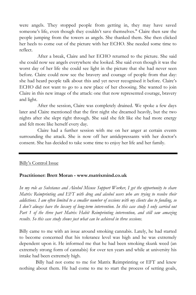were angels. They stopped people from getting in, they may have saved someone's life, even though they couldn't save themselves." Claire then saw the people jumping from the towers as angels. She thanked them. She then clicked her heels to come out of the picture with her ECHO. She needed some time to reflect.

After a break, Claire and her ECHO returned to the picture. She said she could now see angels everywhere she looked. She said even though it was the worst day of her life she could see light in the picture that she had never seen before. Claire could now see the bravery and courage of people from that day: she had heard people talk about this and yet never recognised it before. Claire's ECHO did not want to go to a new place of her choosing. She wanted to join Claire in this new image of the attack: one that now represented courage, bravery and light.

After the session, Claire was completely drained. We spoke a few days later and Claire mentioned that the first night she dreamed heavily, but the two nights after she slept right through. She said she felt like she had more energy and felt more like herself every day.

Claire had a further session with me on her anger at certain events surrounding the attack. She is now off her antidepressants with her doctor's consent. She has decided to take some time to enjoy her life and her family.

#### Billy's Control Issue

#### **Practitioner: Brett Moran - [www.matrixmind.co.uk](http://www.matrixmind.co.uk/)**

*In my role as Substance and Alcohol Misuse Support Worker, I get the opportunity to share Matrix Reimprinting and EFT with drug and alcohol users who are trying to resolve their addictions. I am often limited to a smaller number of sessions with my clients due to funding, so I don't always have the luxury of long-term intervention. In this case study I only carried out Part 1 of the three part Matrix Habit Reimprinting intervention, and still saw amazing results. So this case study shows just what can be achieved in three sessions.* 

Billy came to me with an issue around smoking cannabis. Lately, he had started to become concerned that his tolerance level was high and he was extremely dependent upon it. He informed me that he had been smoking skunk weed (an extremely strong form of cannabis) for over ten years and while at university his intake had been extremely high.

Billy had not come to me for Matrix Reimprinting or EFT and knew nothing about them. He had come to me to start the process of setting goals,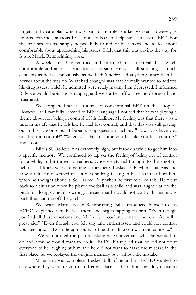targets and a care plan which was part of my role as a key worker. However, as he was extremely anxious I was initially keen to help him settle with EFT. For the first session we simply helped Billy to reduce his nerves and to feel more comfortable about approaching his issues. I felt that this was paving the way for future Matrix Reimprinting work.

A week later Billy returned and informed me on arrival that he felt comfortable and at ease about today's session. He was still smoking as much cannabis as he was previously, as we hadn't addressed anything other than his nerves about the session. What had changed was that he really wanted to address his drug issues, which he admitted were really making him depressed. I informed Billy we would begin more tapping and we started off on feeling depressed and frustrated.

We completed several rounds of conventional EFT on these topics. However, as I carefully listened to Billy's language I noticed that he was playing a theme about not being in control of his feelings. My feeling was that there was a time in his life that he felt like he had lost control, and that this was still playing out in his subconscious. I began asking question such as: "How long have you not been in control?" "When was the first time you felt like you lost control?" and so on.

Billy's SUDS level was extremely high, but it took a while to get him into a specific memory. We continued to tap on the feeling of being out of control for a while, and it turned to sadness. Once we started tuning into the emotion behind it, I knew we were getting somewhere. I asked Billy where this was and how it felt. He described it as a dark sinking feeling in his heart that hurt him when he thought about it. So I asked Billy when he first felt like this. He went back to a situation when he played football as a child and was laughed at on the pitch for doing something wrong. He said that he could not control his emotions back then and ran off the pitch.

We began Matrix Scene Reimprinting. Billy introduced himself to his ECHO, explained why he was there, and began tapping on him. "Even though you had all these emotions and felt like you couldn't control them, you're still a great kid." "Even though you felt silly and embarrassed and could not control your feelings..." "Even though you ran off and felt like you wasn't in control..."

We reimprinted the picture asking his younger self what he wanted to do and how he would want to do it. His ECHO replied that he did not want everyone to be laughing at him and he did not want to make the mistake in the first place. So we replayed the original memory but without the mistake.

When this was complete, I asked Billy if he and his ECHO wanted to stay where they were, or go to a different place of their choosing. Billy chose to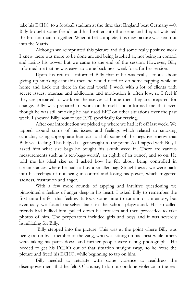take his ECHO to a football stadium at the time that England beat Germany 4-0. Billy brought some friends and his brother into the scene and they all watched the brilliant match together. When it felt complete, this new picture was sent out into the Matrix.

Although we reimprinted this picture and did some really positive work I knew there was more to be done around being laughed at, not being in control and losing his power but we came to the end of the session. However, Billy informed me that he was eager to come back next week for a further session.

Upon his return I informed Billy that if he was really serious about giving up smoking cannabis then he would need to do some tapping while at home and back out there in the real world. I work with a lot of clients with severe issues, traumas and addictions and motivation is often low, so I feel if they are prepared to work on themselves at home then they are prepared for change. Billy was prepared to work on himself and informed me that even though he was still smoking he had used EFT on other situations over the past week. I showed Billy how to use EFT specifically for craving.

After our introduction we picked up where we had left off last week. We tapped around some of his issues and feelings which related to smoking cannabis, using appropriate humour to shift some of the negative energy that Billy was feeling. This helped us get straight to the point. As I tapped with Billy I asked him what size bags he bought his skunk weed in. There are various measurements such as 'a ten-bags-worth', 'an eighth of an ounce', and so on. He told me his ideal size so I asked how he felt about being controlled in circumstances where he had to buy a smaller bag. Straight away we were back into his feelings of not being in control and losing his power, which triggered sadness, frustration and anger.

With a few more rounds of tapping and intuitive questioning we pinpointed a feeling of anger deep in his heart. I asked Billy to remember the first time he felt this feeling. It took some time to tune into a memory, but eventually we found ourselves back in the school playground. His so-called friends had bullied him, pulled down his trousers and then proceeded to take photos of him. The perpetrators included girls and boys and it was severely humiliating for Billy.

Billy stepped into the picture. This was at the point where Billy was being sat on by a member of the gang, who was sitting on his chest while others were taking his pants down and further people were taking photographs. He needed to get his ECHO out of that situation straight away, so he froze the picture and freed his ECHO, while beginning to tap on him.

Billy needed to retaliate with some violence to readdress the disempowerment that he felt. Of course, I do not condone violence in the real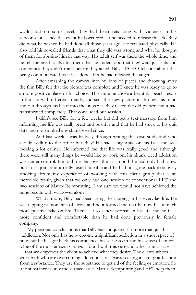world, but on some level, Billy had been retaliating with violence in his subconscious since this event had occurred, so he needed to release this. So Billy did what he wished he had done all those years ago. He retaliated physically. He also told his so-called friends that what they did was wrong and what he thought of them for abusing him in that way. His adult self was there the whole time, and he felt the need to also tell them that he understood that they were just kids and sometimes they didn't think before they acted. Billy's ECHO felt fine about this being communicated, as it was done after he had released the anger.

After smashing the camera into millions of pieces and throwing away the film Billy felt that the picture was complete and I knew he was ready to go to a more positive place of his choice. This time he chose a beautiful beach resort in the sun with different friends, and sent this new picture in through his mind and out through his heart into the universe. Billy tested the old picture and it had transformed completely. That concluded our session.

I didn't see Billy for a few weeks but did get a text message from him informing me life was really great and positive and that he had stuck to his quit date and not smoked any skunk weed since.

And last week I was halfway through writing this case study and who should walk into the office but Billy! He had a big smile on his face and was looking a lot calmer. He informed me that life was really good and although there were still many things he would like to work on, his skunk weed addiction was under control. He told me that over the last month he had only had a few puffs of a joint and it really tasted horrible and he had not gone back to actively smoking. From my experience of working with this client group that is an incredible result, given that we only had one session of conventional EFT and two sessions of Matrix Reimprinting. I am sure we would not have achieved the same results with willpower alone.

What's more, Billy had been using the tapping in his everyday life. He was tapping in moments of stress and he informed me that he now has a much more positive take on life. There is also a new woman in his life and he feels more confident and comfortable than he had done previously in female company.

My personal conclusion is that Billy has conquered far more than just his addiction. Not only has he overcome a significant addiction in a short space of time, but he has got back his confidence, his self-esteem and his sense of control. One of the most amazing things I found with this case and other similar cases is

that we empower the client to achieve what they desire. The clients whom I work with who are overcoming addictions are always seeking instant gratification from a substance. They use the substance to get rid of the feeling or emotion. So the substance is only the surface issue. Matrix Reimprinting and EFT help them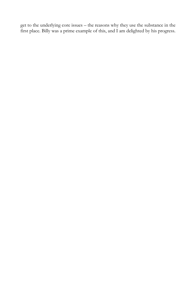get to the underlying core issues – the reasons why they use the substance in the first place. Billy was a prime example of this, and I am delighted by his progress.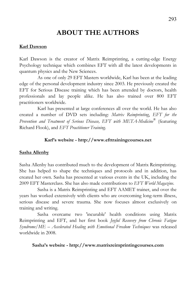## **ABOUT THE AUTHORS**

#### **Karl Dawson**

Karl Dawson is the creator of Matrix Reimprinting, a cutting-edge Energy Psychology technique which combines EFT with all the latest developments in quantum physics and the New Sciences.

As one of only 29 EFT Masters worldwide, Karl has been at the leading edge of the personal development industry since 2003. He previously created the EFT for Serious Disease training which has been attended by doctors, health professionals and lay people alike. He has also trained over 800 EFT practitioners worldwide.

Karl has presented at large conferences all over the world. He has also created a number of DVD sets including: *Matrix Reimprinting*, *EFT for the Prevention and Treatment of Serious Disease, EFT with META-Medicine*® (featuring Richard Flook), and *EFT Practitioner Training.*

#### **Karl's website - http://www.efttrainingcourses.net**

#### **Sasha Allenby**

Sasha Allenby has contributed much to the development of Matrix Reimprinting. She has helped to shape the techniques and protocols and in addition, has created her own. Sasha has presented at various events in the UK, including the 2009 EFT Masterclass. She has also made contributions to *EFT World Magazine*.

Sasha is a Matrix Reimprinting and EFT AAMET trainer, and over the years has worked extensively with clients who are overcoming long-term illness, serious disease and severe trauma. She now focuses almost exclusively on training and writing.

Sasha overcame two 'incurable' health conditions using Matrix Reimprinting and EFT, and her first book *Joyful Recovery from Chronic Fatigue Syndrome/ME – Accelerated Healing with Emotional Freedom Techniques* was released worldwide in 2008.

#### **Sasha's website - http:/[/www.matrixreimprintingcourses.com](http://www.matrixreimprintingcourses.com/)**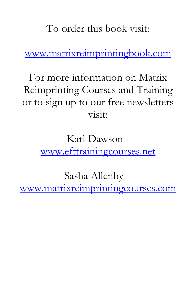To order this book visit:

[www.matrixreimprintingbook.com](http://www.matrixreimprintingbook.com/)

For more information on Matrix Reimprinting Courses and Training or to sign up to our free newsletters visit:

# Karl Dawson -

[www.efttrainingcourses.net](http://www.efttrainingcourses.net/)

# Sasha Allenby –

[www.matrixreimprintingcourses.com](http://www.matrixreimprintingcourses.com/)